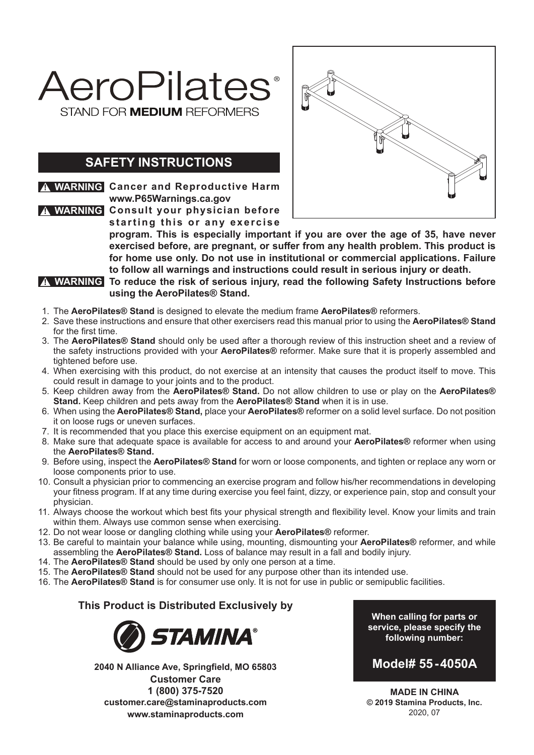

## **SAFETY INSTRUCTIONS**

**! WARNING Cancer and Reproductive Harm www.P65Warnings.ca.gov Consult your physician before ! WARNING** starting this or any exercise



**program. This is especially important if you are over the age of 35, have never exercised before, are pregnant, or suffer from any health problem. This product is for home use only. Do not use in institutional or commercial applications. Failure to follow all warnings and instructions could result in serious injury or death.**

**To reduce the risk of serious injury, read the following Safety Instructions before ! WARNING using the AeroPilates® Stand.**

- 1. The **AeroPilates® Stand** is designed to elevate the medium frame **AeroPilates®** reformers.
- 2. Save these instructions and ensure that other exercisers read this manual prior to using the **AeroPilates® Stand** for the first time.
- 3. The **AeroPilates® Stand** should only be used after a thorough review of this instruction sheet and a review of the safety instructions provided with your **AeroPilates®** reformer. Make sure that it is properly assembled and tightened before use.
- 4. When exercising with this product, do not exercise at an intensity that causes the product itself to move. This could result in damage to your joints and to the product.
- 5. Keep children away from the **AeroPilates® Stand.** Do not allow children to use or play on the **AeroPilates® Stand.** Keep children and pets away from the **AeroPilates® Stand** when it is in use.
- 6. When using the **AeroPilates® Stand,** place your **AeroPilates®** reformer on a solid level surface. Do not position it on loose rugs or uneven surfaces.
- 7. It is recommended that you place this exercise equipment on an equipment mat.
- 8. Make sure that adequate space is available for access to and around your **AeroPilates®** reformer when using the **AeroPilates® Stand.**
- 9. Before using, inspect the **AeroPilates® Stand** for worn or loose components, and tighten or replace any worn or loose components prior to use.
- 10. Consult a physician prior to commencing an exercise program and follow his/her recommendations in developing your fitness program. If at any time during exercise you feel faint, dizzy, or experience pain, stop and consult your physician.
- 11. Always choose the workout which best fits your physical strength and flexibility level. Know your limits and train within them. Always use common sense when exercising.
- 12. Do not wear loose or dangling clothing while using your **AeroPilates®** reformer.
- 13. Be careful to maintain your balance while using, mounting, dismounting your **AeroPilates®** reformer, and while assembling the **AeroPilates® Stand.** Loss of balance may result in a fall and bodily injury.
- 14. The **AeroPilates® Stand** should be used by only one person at a time.
- 15. The **AeroPilates® Stand** should not be used for any purpose other than its intended use.
- 16. The **AeroPilates® Stand** is for consumer use only. It is not for use in public or semipublic facilities.

#### **This Product is Distributed Exclusively by**



**2040 N Alliance Ave, Springfield, MO 65803 Customer Care 1 (800) 375-7520 customer.care@staminaproducts.com www.staminaproducts.com**

**When calling for parts or service, please specify the following number:**

## **Model# 55-4050A**

**MADE IN CHINA © 2019 Stamina Products, Inc.** 2020, 07